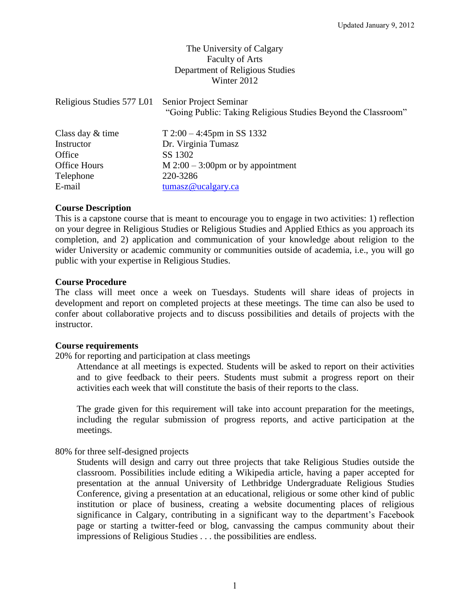# The University of Calgary Faculty of Arts Department of Religious Studies Winter 2012

| Religious Studies 577 L01 | Senior Project Seminar<br>"Going Public: Taking Religious Studies Beyond the Classroom" |
|---------------------------|-----------------------------------------------------------------------------------------|
| Class day & time          | $T 2:00 - 4:45$ pm in SS 1332                                                           |
| Instructor                | Dr. Virginia Tumasz                                                                     |
| Office                    | SS 1302                                                                                 |
| Office Hours              | $M$ 2:00 – 3:00pm or by appointment                                                     |
| Telephone                 | 220-3286                                                                                |
| E-mail                    | $t$ umasz@ucalgary.ca                                                                   |

## **Course Description**

This is a capstone course that is meant to encourage you to engage in two activities: 1) reflection on your degree in Religious Studies or Religious Studies and Applied Ethics as you approach its completion, and 2) application and communication of your knowledge about religion to the wider University or academic community or communities outside of academia, i.e., you will go public with your expertise in Religious Studies.

## **Course Procedure**

The class will meet once a week on Tuesdays. Students will share ideas of projects in development and report on completed projects at these meetings. The time can also be used to confer about collaborative projects and to discuss possibilities and details of projects with the instructor.

## **Course requirements**

20% for reporting and participation at class meetings

Attendance at all meetings is expected. Students will be asked to report on their activities and to give feedback to their peers. Students must submit a progress report on their activities each week that will constitute the basis of their reports to the class.

The grade given for this requirement will take into account preparation for the meetings, including the regular submission of progress reports, and active participation at the meetings.

## 80% for three self-designed projects

Students will design and carry out three projects that take Religious Studies outside the classroom. Possibilities include editing a Wikipedia article, having a paper accepted for presentation at the annual University of Lethbridge Undergraduate Religious Studies Conference, giving a presentation at an educational, religious or some other kind of public institution or place of business, creating a website documenting places of religious significance in Calgary, contributing in a significant way to the department's Facebook page or starting a twitter-feed or blog, canvassing the campus community about their impressions of Religious Studies . . . the possibilities are endless.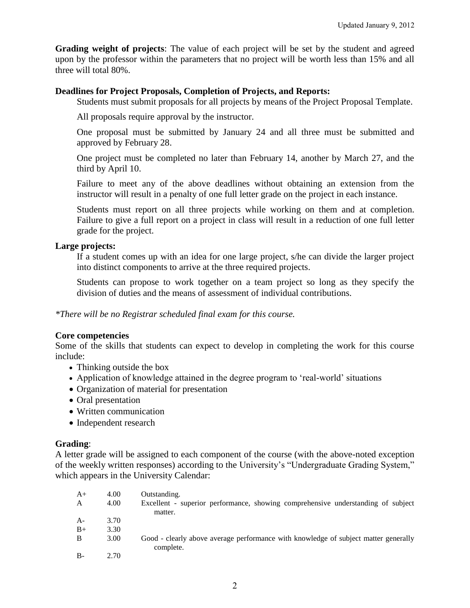**Grading weight of projects**: The value of each project will be set by the student and agreed upon by the professor within the parameters that no project will be worth less than 15% and all three will total 80%.

## **Deadlines for Project Proposals, Completion of Projects, and Reports:**

Students must submit proposals for all projects by means of the Project Proposal Template.

All proposals require approval by the instructor.

One proposal must be submitted by January 24 and all three must be submitted and approved by February 28.

One project must be completed no later than February 14, another by March 27, and the third by April 10.

Failure to meet any of the above deadlines without obtaining an extension from the instructor will result in a penalty of one full letter grade on the project in each instance.

Students must report on all three projects while working on them and at completion. Failure to give a full report on a project in class will result in a reduction of one full letter grade for the project.

## **Large projects:**

If a student comes up with an idea for one large project, s/he can divide the larger project into distinct components to arrive at the three required projects.

Students can propose to work together on a team project so long as they specify the division of duties and the means of assessment of individual contributions.

*\*There will be no Registrar scheduled final exam for this course.*

## **Core competencies**

Some of the skills that students can expect to develop in completing the work for this course include:

- Thinking outside the box
- Application of knowledge attained in the degree program to 'real-world' situations
- Organization of material for presentation
- Oral presentation
- Written communication
- Independent research

## **Grading**:

A letter grade will be assigned to each component of the course (with the above-noted exception of the weekly written responses) according to the University"s "Undergraduate Grading System," which appears in the University Calendar:

| $A+$  | 4.00 | Outstanding.                                                                                     |
|-------|------|--------------------------------------------------------------------------------------------------|
| A     | 4.00 | Excellent - superior performance, showing comprehensive understanding of subject<br>matter.      |
| $A-$  | 3.70 |                                                                                                  |
| $B+$  | 3.30 |                                                                                                  |
| B     | 3.00 | Good - clearly above average performance with knowledge of subject matter generally<br>complete. |
| $B -$ | 2.70 |                                                                                                  |